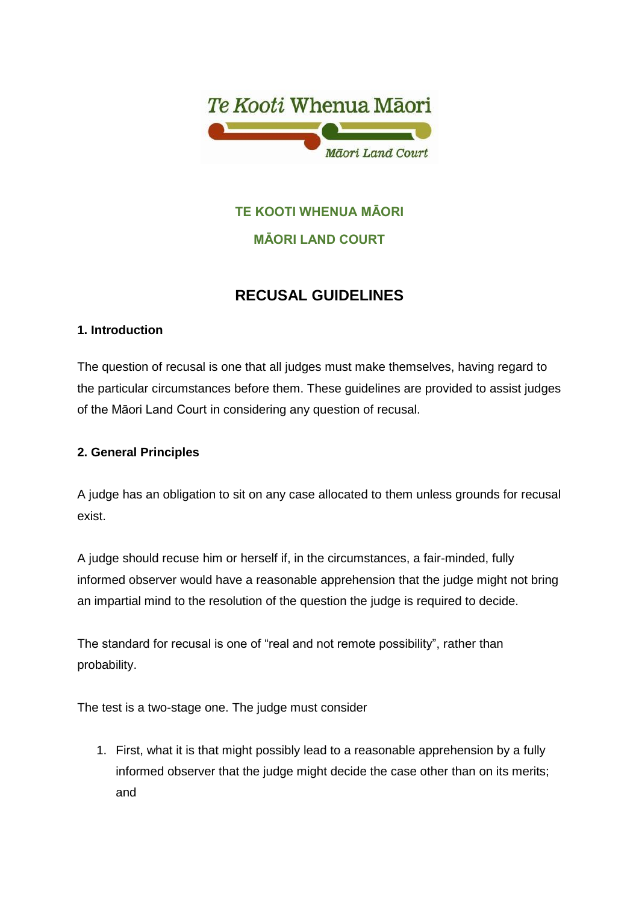

# **TE KOOTI WHENUA MĀORI**

# **MĀORI LAND COURT**

# **RECUSAL GUIDELINES**

# **1. Introduction**

The question of recusal is one that all judges must make themselves, having regard to the particular circumstances before them. These guidelines are provided to assist judges of the Māori Land Court in considering any question of recusal.

# **2. General Principles**

A judge has an obligation to sit on any case allocated to them unless grounds for recusal exist.

A judge should recuse him or herself if, in the circumstances, a fair-minded, fully informed observer would have a reasonable apprehension that the judge might not bring an impartial mind to the resolution of the question the judge is required to decide.

The standard for recusal is one of "real and not remote possibility", rather than probability.

The test is a two-stage one. The judge must consider

1. First, what it is that might possibly lead to a reasonable apprehension by a fully informed observer that the judge might decide the case other than on its merits; and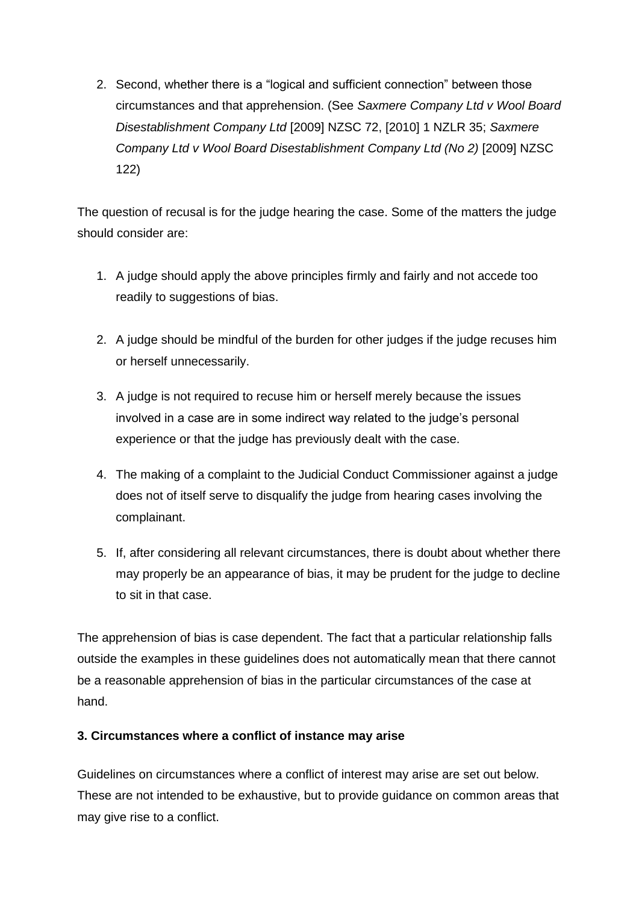2. Second, whether there is a "logical and sufficient connection" between those circumstances and that apprehension. (See *Saxmere Company Ltd v Wool Board Disestablishment Company Ltd* [2009] NZSC 72, [2010] 1 NZLR 35; *Saxmere Company Ltd v Wool Board Disestablishment Company Ltd (No 2)* [2009] NZSC 122)

The question of recusal is for the judge hearing the case. Some of the matters the judge should consider are:

- 1. A judge should apply the above principles firmly and fairly and not accede too readily to suggestions of bias.
- 2. A judge should be mindful of the burden for other judges if the judge recuses him or herself unnecessarily.
- 3. A judge is not required to recuse him or herself merely because the issues involved in a case are in some indirect way related to the judge's personal experience or that the judge has previously dealt with the case.
- 4. The making of a complaint to the Judicial Conduct Commissioner against a judge does not of itself serve to disqualify the judge from hearing cases involving the complainant.
- 5. If, after considering all relevant circumstances, there is doubt about whether there may properly be an appearance of bias, it may be prudent for the judge to decline to sit in that case.

The apprehension of bias is case dependent. The fact that a particular relationship falls outside the examples in these guidelines does not automatically mean that there cannot be a reasonable apprehension of bias in the particular circumstances of the case at hand.

### **3. Circumstances where a conflict of instance may arise**

Guidelines on circumstances where a conflict of interest may arise are set out below. These are not intended to be exhaustive, but to provide guidance on common areas that may give rise to a conflict.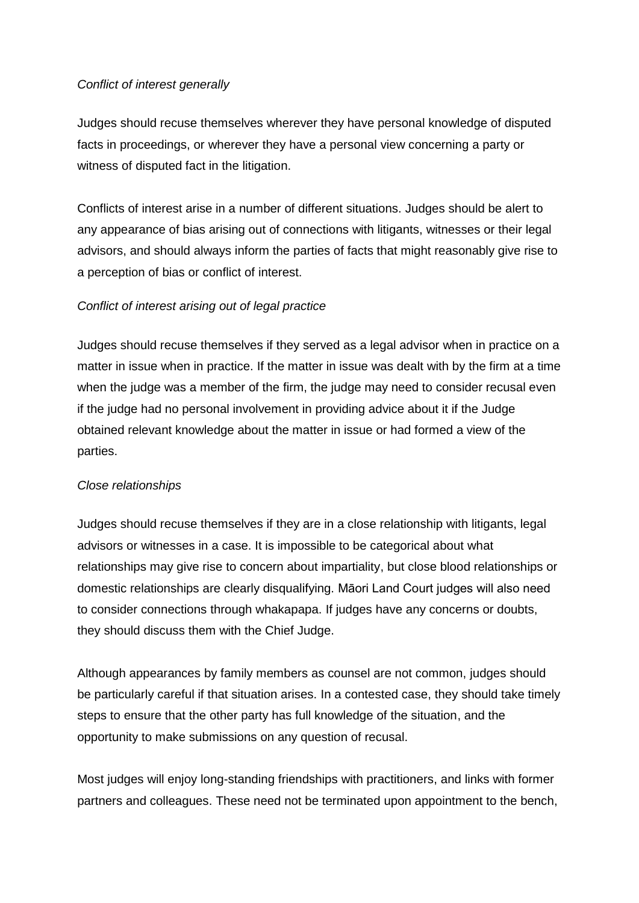#### *Conflict of interest generally*

Judges should recuse themselves wherever they have personal knowledge of disputed facts in proceedings, or wherever they have a personal view concerning a party or witness of disputed fact in the litigation.

Conflicts of interest arise in a number of different situations. Judges should be alert to any appearance of bias arising out of connections with litigants, witnesses or their legal advisors, and should always inform the parties of facts that might reasonably give rise to a perception of bias or conflict of interest.

### *Conflict of interest arising out of legal practice*

Judges should recuse themselves if they served as a legal advisor when in practice on a matter in issue when in practice. If the matter in issue was dealt with by the firm at a time when the judge was a member of the firm, the judge may need to consider recusal even if the judge had no personal involvement in providing advice about it if the Judge obtained relevant knowledge about the matter in issue or had formed a view of the parties.

#### *Close relationships*

Judges should recuse themselves if they are in a close relationship with litigants, legal advisors or witnesses in a case. It is impossible to be categorical about what relationships may give rise to concern about impartiality, but close blood relationships or domestic relationships are clearly disqualifying. Māori Land Court judges will also need to consider connections through whakapapa. If judges have any concerns or doubts, they should discuss them with the Chief Judge.

Although appearances by family members as counsel are not common, judges should be particularly careful if that situation arises. In a contested case, they should take timely steps to ensure that the other party has full knowledge of the situation, and the opportunity to make submissions on any question of recusal.

Most judges will enjoy long-standing friendships with practitioners, and links with former partners and colleagues. These need not be terminated upon appointment to the bench,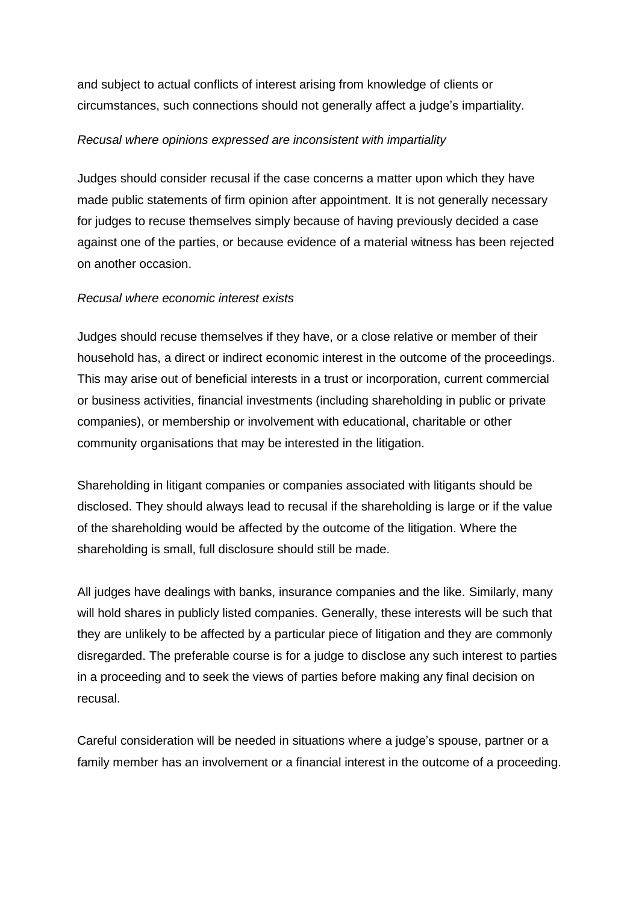and subject to actual conflicts of interest arising from knowledge of clients or circumstances, such connections should not generally affect a judge's impartiality.

#### *Recusal where opinions expressed are inconsistent with impartiality*

Judges should consider recusal if the case concerns a matter upon which they have made public statements of firm opinion after appointment. It is not generally necessary for judges to recuse themselves simply because of having previously decided a case against one of the parties, or because evidence of a material witness has been rejected on another occasion.

#### *Recusal where economic interest exists*

Judges should recuse themselves if they have, or a close relative or member of their household has, a direct or indirect economic interest in the outcome of the proceedings. This may arise out of beneficial interests in a trust or incorporation, current commercial or business activities, financial investments (including shareholding in public or private companies), or membership or involvement with educational, charitable or other community organisations that may be interested in the litigation.

Shareholding in litigant companies or companies associated with litigants should be disclosed. They should always lead to recusal if the shareholding is large or if the value of the shareholding would be affected by the outcome of the litigation. Where the shareholding is small, full disclosure should still be made.

All judges have dealings with banks, insurance companies and the like. Similarly, many will hold shares in publicly listed companies. Generally, these interests will be such that they are unlikely to be affected by a particular piece of litigation and they are commonly disregarded. The preferable course is for a judge to disclose any such interest to parties in a proceeding and to seek the views of parties before making any final decision on recusal.

Careful consideration will be needed in situations where a judge's spouse, partner or a family member has an involvement or a financial interest in the outcome of a proceeding.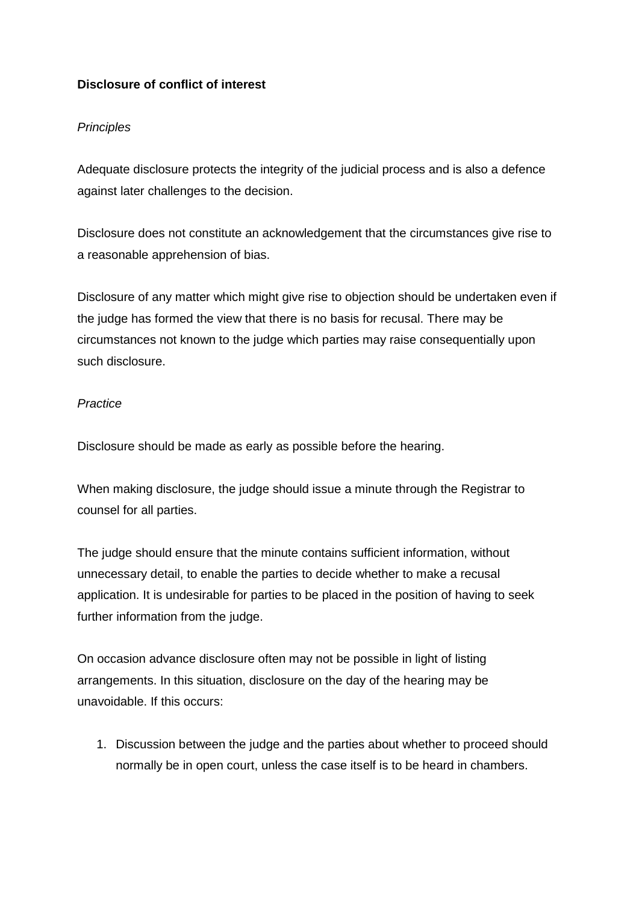# **Disclosure of conflict of interest**

### *Principles*

Adequate disclosure protects the integrity of the judicial process and is also a defence against later challenges to the decision.

Disclosure does not constitute an acknowledgement that the circumstances give rise to a reasonable apprehension of bias.

Disclosure of any matter which might give rise to objection should be undertaken even if the judge has formed the view that there is no basis for recusal. There may be circumstances not known to the judge which parties may raise consequentially upon such disclosure.

#### *Practice*

Disclosure should be made as early as possible before the hearing.

When making disclosure, the judge should issue a minute through the Registrar to counsel for all parties.

The judge should ensure that the minute contains sufficient information, without unnecessary detail, to enable the parties to decide whether to make a recusal application. It is undesirable for parties to be placed in the position of having to seek further information from the judge.

On occasion advance disclosure often may not be possible in light of listing arrangements. In this situation, disclosure on the day of the hearing may be unavoidable. If this occurs:

1. Discussion between the judge and the parties about whether to proceed should normally be in open court, unless the case itself is to be heard in chambers.